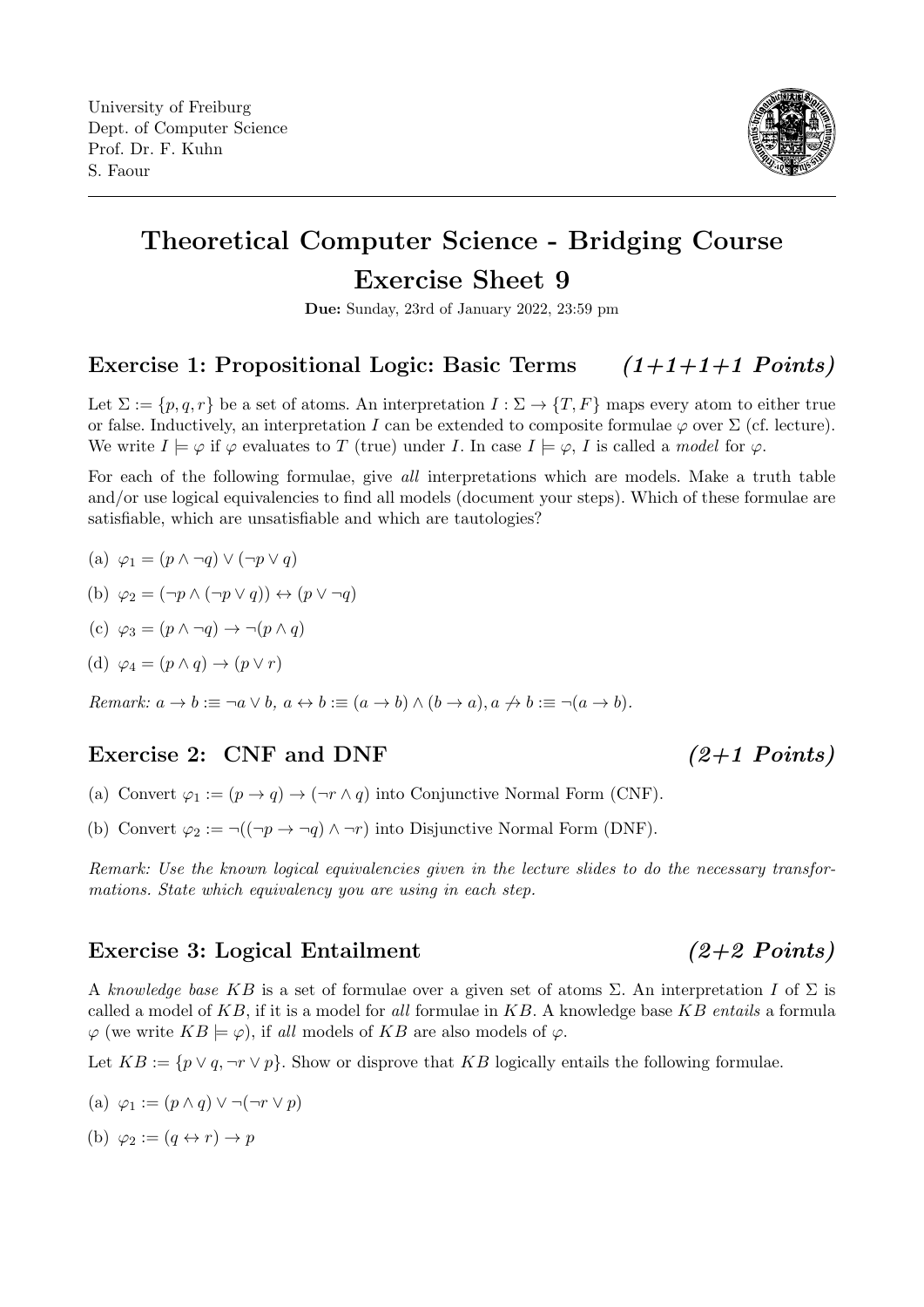

# Theoretical Computer Science - Bridging Course Exercise Sheet 9

Due: Sunday, 23rd of January 2022, 23:59 pm

# Exercise 1: Propositional Logic: Basic Terms  $(1+1+1+1 \text{ Points})$

Let  $\Sigma := \{p, q, r\}$  be a set of atoms. An interpretation  $I : \Sigma \to \{T, F\}$  maps every atom to either true or false. Inductively, an interpretation I can be extended to composite formulae  $\varphi$  over  $\Sigma$  (cf. lecture). We write  $I \models \varphi$  if  $\varphi$  evaluates to T (true) under I. In case  $I \models \varphi$ , I is called a model for  $\varphi$ .

For each of the following formulae, give all interpretations which are models. Make a truth table and/or use logical equivalencies to find all models (document your steps). Which of these formulae are satisfiable, which are unsatisfiable and which are tautologies?

(a)  $\varphi_1 = (p \wedge \neg q) \vee (\neg p \vee q)$ 

(b) 
$$
\varphi_2 = (\neg p \land (\neg p \lor q)) \leftrightarrow (p \lor \neg q)
$$

(c) 
$$
\varphi_3 = (p \land \neg q) \rightarrow \neg (p \land q)
$$

(d) 
$$
\varphi_4 = (p \wedge q) \rightarrow (p \vee r)
$$

Remark:  $a \to b := \neg a \lor b$ ,  $a \leftrightarrow b := (a \to b) \land (b \to a)$ ,  $a \not\to b := \neg (a \to b)$ .

## Exercise 2: CNF and DNF (2+1 Points)

- (a) Convert  $\varphi_1 := (p \to q) \to (\neg r \land q)$  into Conjunctive Normal Form (CNF).
- (b) Convert  $\varphi_2 := \neg((\neg p \to \neg q) \land \neg r)$  into Disjunctive Normal Form (DNF).

Remark: Use the known logical equivalencies given in the lecture slides to do the necessary transformations. State which equivalency you are using in each step.

## Exercise 3: Logical Entailment  $(2+2$  Points)

A knowledge base KB is a set of formulae over a given set of atoms  $\Sigma$ . An interpretation I of  $\Sigma$  is called a model of  $KB$ , if it is a model for all formulae in  $KB$ . A knowledge base  $KB$  entails a formula  $\varphi$  (we write  $KB \models \varphi$ ), if all models of KB are also models of  $\varphi$ .

Let  $KB := \{p \lor q, \neg r \lor p\}$ . Show or disprove that KB logically entails the following formulae.

- (a)  $\varphi_1 := (p \wedge q) \vee \neg(\neg r \vee p)$
- (b)  $\varphi_2 := (q \leftrightarrow r) \to p$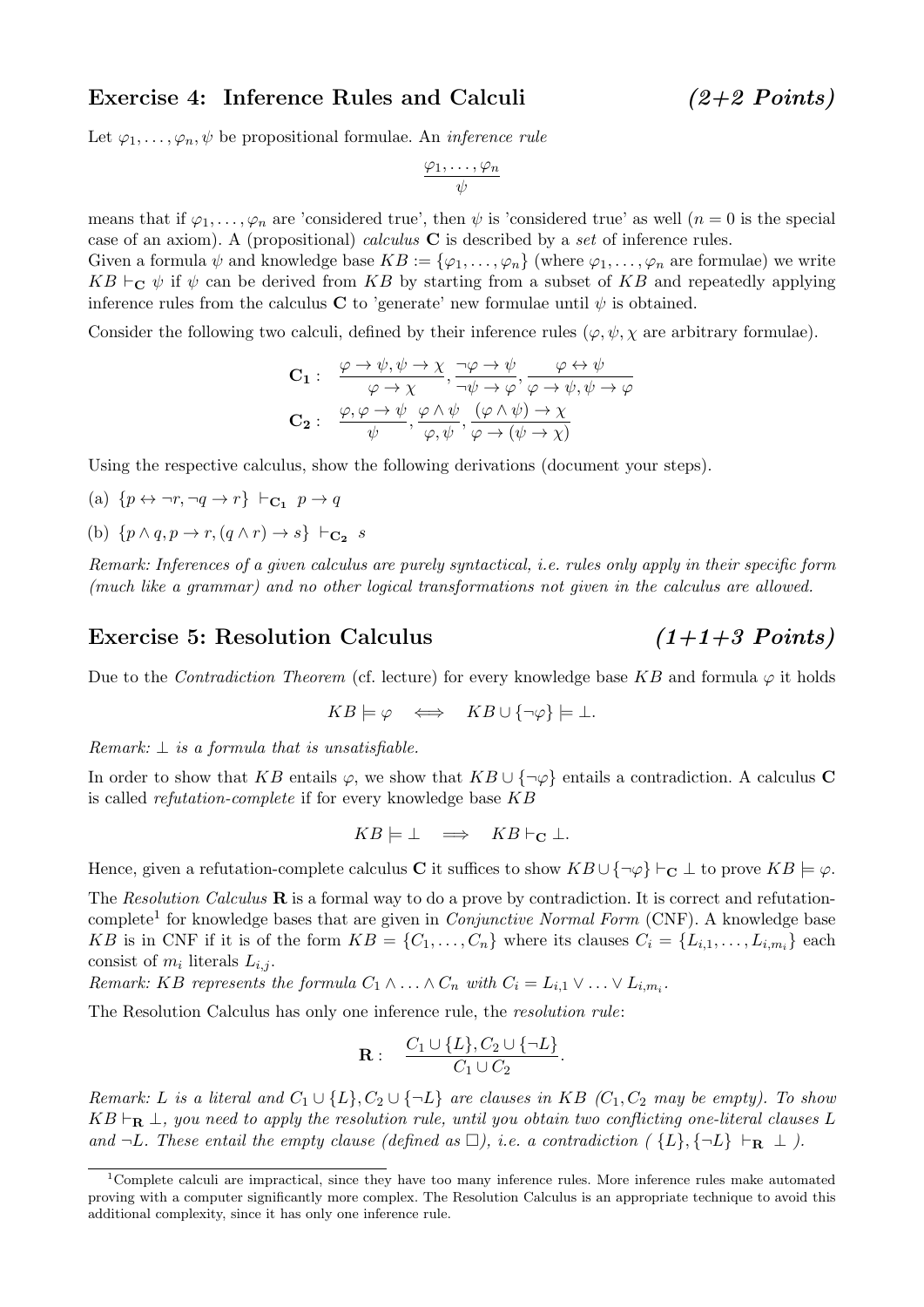### Exercise 4: Inference Rules and Calculi (2+2 Points)

Let  $\varphi_1, \ldots, \varphi_n, \psi$  be propositional formulae. An *inference rule* 

$$
\frac{\varphi_1,\ldots,\varphi_n}{\psi}
$$

means that if  $\varphi_1,\ldots,\varphi_n$  are 'considered true', then  $\psi$  is 'considered true' as well  $(n=0$  is the special case of an axiom). A (propositional) *calculus*  $C$  is described by a set of inference rules.

Given a formula  $\psi$  and knowledge base  $KB := {\varphi_1, \ldots, \varphi_n}$  (where  $\varphi_1, \ldots, \varphi_n$  are formulae) we write  $KB \vdash_{\mathbf{C}} \psi$  if  $\psi$  can be derived from KB by starting from a subset of KB and repeatedly applying inference rules from the calculus C to 'generate' new formulae until  $\psi$  is obtained.

Consider the following two calculi, defined by their inference rules  $(\varphi, \psi, \chi)$  are arbitrary formulae).

$$
\mathbf{C_1}: \quad \frac{\varphi \to \psi, \psi \to \chi}{\varphi \to \chi}, \frac{\neg \varphi \to \psi}{\neg \psi \to \varphi}, \frac{\varphi \leftrightarrow \psi}{\varphi \to \psi, \psi \to \varphi}
$$
\n
$$
\mathbf{C_2}: \quad \frac{\varphi, \varphi \to \psi}{\psi}, \frac{\varphi \land \psi}{\varphi, \psi}, \frac{(\varphi \land \psi) \to \chi}{\varphi \to (\psi \to \chi)}
$$

Using the respective calculus, show the following derivations (document your steps).

(a) 
$$
\{p \leftrightarrow \neg r, \neg q \rightarrow r\} \vdash_{\mathbf{C}_1} p \rightarrow q
$$

(b)  $\{p \land q, p \rightarrow r, (q \land r) \rightarrow s\} \vdash_{\mathbf{C_2}} s$ 

Remark: Inferences of a given calculus are purely syntactical, i.e. rules only apply in their specific form (much like a grammar) and no other logical transformations not given in the calculus are allowed.

### Exercise 5: Resolution Calculus  $(1+1+3 \text{ Points})$

Due to the *Contradiction Theorem* (cf. lecture) for every knowledge base KB and formula  $\varphi$  it holds

$$
KB \models \varphi \iff KB \cup \{\neg \varphi\} \models \bot.
$$

Remark:  $\perp$  is a formula that is unsatisfiable.

In order to show that KB entails  $\varphi$ , we show that KB ∪ { $\neg \varphi$ } entails a contradiction. A calculus C is called refutation-complete if for every knowledge base KB

$$
KB \models \bot \implies KB \vdash_{\mathbf{C}} \bot.
$$

Hence, given a refutation-complete calculus C it suffices to show  $KB \cup {\neg \varphi} \vdash_{\mathbf{C}} \bot$  to prove  $KB \models \varphi$ .

The Resolution Calculus  $\bf{R}$  is a formal way to do a prove by contradiction. It is correct and refutation-complete<sup>[1](#page-1-0)</sup> for knowledge bases that are given in *Conjunctive Normal Form* (CNF). A knowledge base KB is in CNF if it is of the form  $KB = \{C_1, \ldots, C_n\}$  where its clauses  $C_i = \{L_{i,1}, \ldots, L_{i,m_i}\}$  each consist of  $m_i$  literals  $L_{i,j}$ .

Remark: KB represents the formula  $C_1 \wedge \ldots \wedge C_n$  with  $C_i = L_{i,1} \vee \ldots \vee L_{i,m_i}$ .

The Resolution Calculus has only one inference rule, the resolution rule:

$$
\mathbf{R}:\quad \frac{C_1\cup\{L\},C_2\cup\{\neg L\}}{C_1\cup C_2}.
$$

Remark: L is a literal and  $C_1 \cup \{L\}$ ,  $C_2 \cup \{\neg L\}$  are clauses in KB  $(C_1, C_2$  may be empty). To show  $KB \vdash_{\bf R} \bot$ , you need to apply the resolution rule, until you obtain two conflicting one-literal clauses L and  $\neg L$ . These entail the empty clause (defined as  $\Box$ ), i.e. a contradiction ( $\{L\}, \{\neg L\} \vdash_{\mathbf{R}} \bot$ ).

<span id="page-1-0"></span><sup>1</sup>Complete calculi are impractical, since they have too many inference rules. More inference rules make automated proving with a computer significantly more complex. The Resolution Calculus is an appropriate technique to avoid this additional complexity, since it has only one inference rule.